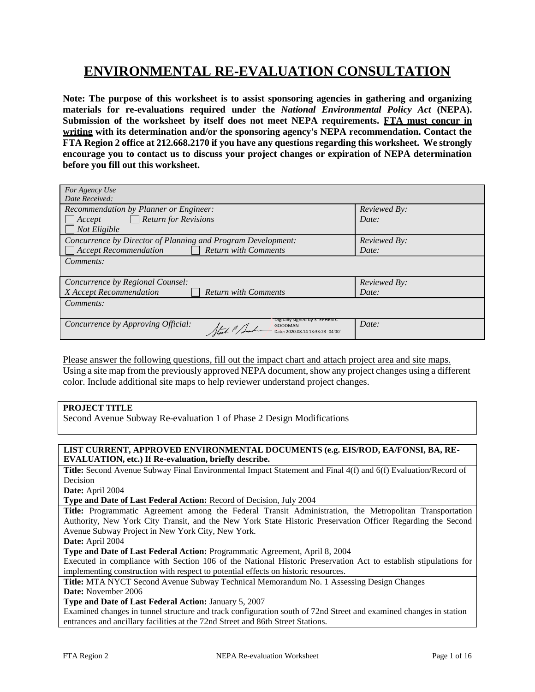# **ENVIRONMENTAL RE-EVALUATION CONSULTATION**

**Note: The purpose of this worksheet is to assist sponsoring agencies in gathering and organizing materials for re-evaluations required under the** *National Environmental Policy Act* **(NEPA). Submission of the worksheet by itself does not meet NEPA requirements. FTA must concur in writing with its determination and/or the sponsoring agency's NEPA recommendation. Contact the FTA Region 2 office at 212.668.2170 if you have any questions regarding this worksheet. We strongly encourage you to contact us to discuss your project changes or expiration of NEPA determination before you fill out this worksheet.**

| For Agency Use                                                                                |              |  |  |
|-----------------------------------------------------------------------------------------------|--------------|--|--|
| Date Received:                                                                                |              |  |  |
| Recommendation by Planner or Engineer:                                                        | Reviewed By: |  |  |
| $\Box$ Return for Revisions<br>$ $ Accept                                                     | Date:        |  |  |
| Not Eligible                                                                                  |              |  |  |
| Concurrence by Director of Planning and Program Development:                                  | Reviewed By: |  |  |
| <b>Accept Recommendation</b><br><b>Return with Comments</b>                                   | Date:        |  |  |
| <i>Comments:</i>                                                                              |              |  |  |
|                                                                                               |              |  |  |
| Concurrence by Regional Counsel:<br>Reviewed By:                                              |              |  |  |
| X Accept Recommendation<br><b>Return with Comments</b>                                        | Date:        |  |  |
| Comments:                                                                                     |              |  |  |
|                                                                                               |              |  |  |
| Digitally signed by STEPHEN C<br>Concurrence by Approving Official:<br>GOODMAN<br>Stat & Sach | Date:        |  |  |
| Date: 2020.08.14 13:33:23 -04'00'                                                             |              |  |  |

Please answer the following questions, fill out the impact chart and attach project area and site maps. Using a site map from the previously approved NEPA document, show any project changes using a different color. Include additional site maps to help reviewer understand project changes.

## **PROJECT TITLE**

Second Avenue Subway Re-evaluation 1 of Phase 2 Design Modifications

#### **LIST CURRENT, APPROVED ENVIRONMENTAL DOCUMENTS (e.g. EIS/ROD, EA/FONSI, BA, RE-EVALUATION, etc.) If Re-evaluation, briefly describe.**

**Title:** Second Avenue Subway Final Environmental Impact Statement and Final 4(f) and 6(f) Evaluation/Record of Decision

**Date:** April 2004

**Type and Date of Last Federal Action:** Record of Decision, July 2004

**Title:** Programmatic Agreement among the Federal Transit Administration, the Metropolitan Transportation Authority, New York City Transit, and the New York State Historic Preservation Officer Regarding the Second Avenue Subway Project in New York City, New York.

**Date:** April 2004

**Type and Date of Last Federal Action:** Programmatic Agreement, April 8, 2004

Executed in compliance with Section 106 of the National Historic Preservation Act to establish stipulations for implementing construction with respect to potential effects on historic resources.

**Title:** MTA NYCT Second Avenue Subway Technical Memorandum No. 1 Assessing Design Changes **Date:** November 2006

**Type and Date of Last Federal Action:** January 5, 2007

Examined changes in tunnel structure and track configuration south of 72nd Street and examined changes in station entrances and ancillary facilities at the 72nd Street and 86th Street Stations.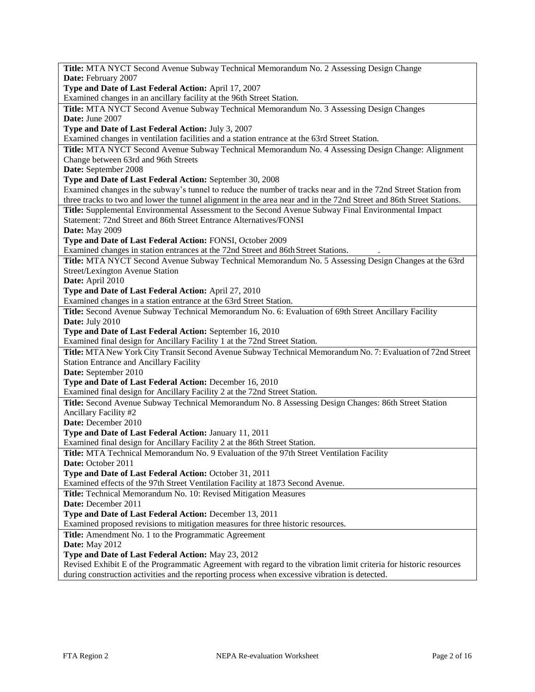| Title: MTA NYCT Second Avenue Subway Technical Memorandum No. 2 Assessing Design Change                              |
|----------------------------------------------------------------------------------------------------------------------|
| Date: February 2007                                                                                                  |
| Type and Date of Last Federal Action: April 17, 2007                                                                 |
| Examined changes in an ancillary facility at the 96th Street Station.                                                |
| Title: MTA NYCT Second Avenue Subway Technical Memorandum No. 3 Assessing Design Changes                             |
| Date: June 2007                                                                                                      |
| Type and Date of Last Federal Action: July 3, 2007                                                                   |
| Examined changes in ventilation facilities and a station entrance at the 63rd Street Station.                        |
| Title: MTA NYCT Second Avenue Subway Technical Memorandum No. 4 Assessing Design Change: Alignment                   |
| Change between 63rd and 96th Streets                                                                                 |
| Date: September 2008                                                                                                 |
| Type and Date of Last Federal Action: September 30, 2008                                                             |
| Examined changes in the subway's tunnel to reduce the number of tracks near and in the 72nd Street Station from      |
| three tracks to two and lower the tunnel alignment in the area near and in the 72nd Street and 86th Street Stations. |
| Title: Supplemental Environmental Assessment to the Second Avenue Subway Final Environmental Impact                  |
| Statement: 72nd Street and 86th Street Entrance Alternatives/FONSI                                                   |
| <b>Date:</b> May 2009                                                                                                |
| Type and Date of Last Federal Action: FONSI, October 2009                                                            |
| Examined changes in station entrances at the 72nd Street and 86th Street Stations.                                   |
| Title: MTA NYCT Second Avenue Subway Technical Memorandum No. 5 Assessing Design Changes at the 63rd                 |
| Street/Lexington Avenue Station                                                                                      |
| Date: April 2010                                                                                                     |
| Type and Date of Last Federal Action: April 27, 2010                                                                 |
| Examined changes in a station entrance at the 63rd Street Station.                                                   |
| Title: Second Avenue Subway Technical Memorandum No. 6: Evaluation of 69th Street Ancillary Facility                 |
| Date: July 2010                                                                                                      |
| Type and Date of Last Federal Action: September 16, 2010                                                             |
| Examined final design for Ancillary Facility 1 at the 72nd Street Station.                                           |
| Title: MTA New York City Transit Second Avenue Subway Technical Memorandum No. 7: Evaluation of 72nd Street          |
| <b>Station Entrance and Ancillary Facility</b>                                                                       |
| Date: September 2010                                                                                                 |
| Type and Date of Last Federal Action: December 16, 2010                                                              |
| Examined final design for Ancillary Facility 2 at the 72nd Street Station.                                           |
| Title: Second Avenue Subway Technical Memorandum No. 8 Assessing Design Changes: 86th Street Station                 |
| Ancillary Facility #2                                                                                                |
| Date: December 2010                                                                                                  |
| Type and Date of Last Federal Action: January 11, 2011                                                               |
| Examined final design for Ancillary Facility 2 at the 86th Street Station.                                           |
| Title: MTA Technical Memorandum No. 9 Evaluation of the 97th Street Ventilation Facility                             |
| Date: October 2011                                                                                                   |
| Type and Date of Last Federal Action: October 31, 2011                                                               |
| Examined effects of the 97th Street Ventilation Facility at 1873 Second Avenue.                                      |
| Title: Technical Memorandum No. 10: Revised Mitigation Measures                                                      |
| Date: December 2011                                                                                                  |
| Type and Date of Last Federal Action: December 13, 2011                                                              |
| Examined proposed revisions to mitigation measures for three historic resources.                                     |
| Title: Amendment No. 1 to the Programmatic Agreement                                                                 |
| Date: May 2012                                                                                                       |
| Type and Date of Last Federal Action: May 23, 2012                                                                   |
| Revised Exhibit E of the Programmatic Agreement with regard to the vibration limit criteria for historic resources   |
| during construction activities and the reporting process when excessive vibration is detected.                       |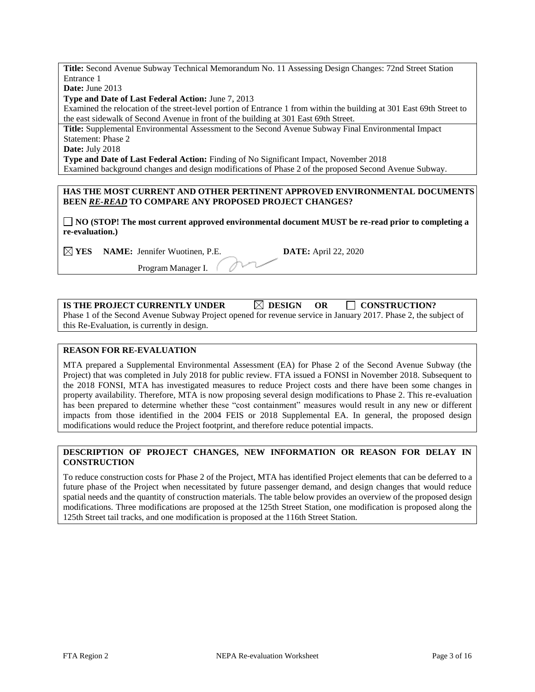**Title:** Second Avenue Subway Technical Memorandum No. 11 Assessing Design Changes: 72nd Street Station Entrance 1

**Date:** June 2013

**Type and Date of Last Federal Action:** June 7, 2013

Examined the relocation of the street-level portion of Entrance 1 from within the building at 301 East 69th Street to the east sidewalk of Second Avenue in front of the building at 301 East 69th Street.

**Title:** Supplemental Environmental Assessment to the Second Avenue Subway Final Environmental Impact Statement: Phase 2

**Date:** July 2018

**Type and Date of Last Federal Action:** Finding of No Significant Impact, November 2018 Examined background changes and design modifications of Phase 2 of the proposed Second Avenue Subway.

### **HAS THE MOST CURRENT AND OTHER PERTINENT APPROVED ENVIRONMENTAL DOCUMENTS BEEN** *RE-READ* **TO COMPARE ANY PROPOSED PROJECT CHANGES?**

**NO (STOP! The most current approved environmental document MUST be re-read prior to completing a re-evaluation.)**

**YES NAME:** Jennifer Wuotinen, P.E. **DATE:** April 22, 2020

Program Manager I.

| IS THE PROJECT CURRENTLY UNDER                                                                                  | $\boxtimes$ DESIGN | - OR | $\Box$ CONSTRUCTION? |
|-----------------------------------------------------------------------------------------------------------------|--------------------|------|----------------------|
| Phase 1 of the Second Avenue Subway Project opened for revenue service in January 2017. Phase 2, the subject of |                    |      |                      |
| this Re-Evaluation, is currently in design.                                                                     |                    |      |                      |

### **REASON FOR RE-EVALUATION**

MTA prepared a Supplemental Environmental Assessment (EA) for Phase 2 of the Second Avenue Subway (the Project) that was completed in July 2018 for public review. FTA issued a FONSI in November 2018. Subsequent to the 2018 FONSI, MTA has investigated measures to reduce Project costs and there have been some changes in property availability. Therefore, MTA is now proposing several design modifications to Phase 2. This re-evaluation has been prepared to determine whether these "cost containment" measures would result in any new or different impacts from those identified in the 2004 FEIS or 2018 Supplemental EA. In general, the proposed design modifications would reduce the Project footprint, and therefore reduce potential impacts.

## **DESCRIPTION OF PROJECT CHANGES, NEW INFORMATION OR REASON FOR DELAY IN CONSTRUCTION**

To reduce construction costs for Phase 2 of the Project, MTA has identified Project elements that can be deferred to a future phase of the Project when necessitated by future passenger demand, and design changes that would reduce spatial needs and the quantity of construction materials. The table below provides an overview of the proposed design modifications. Three modifications are proposed at the 125th Street Station, one modification is proposed along the 125th Street tail tracks, and one modification is proposed at the 116th Street Station.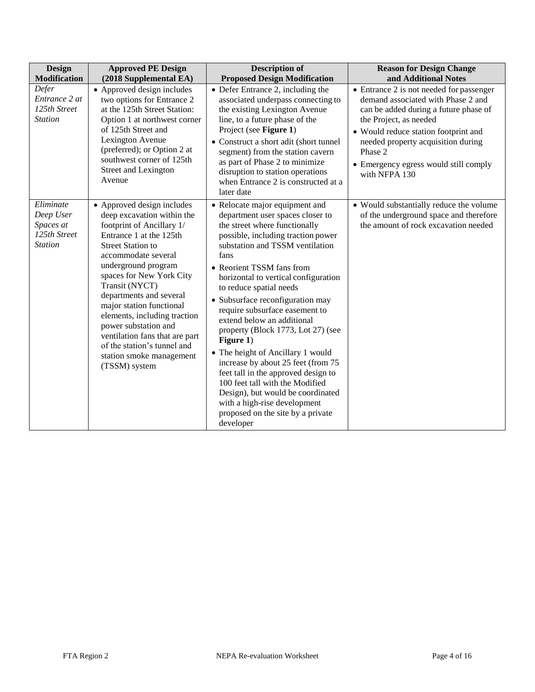| Design<br><b>Modification</b>                                         | <b>Approved PE Design</b><br>(2018 Supplemental EA)                                                                                                                                                                                                                                                                                                                                                                                                                   | <b>Description of</b><br><b>Proposed Design Modification</b>                                                                                                                                                                                                                                                                                                                                                                                                                                                                                                                                                                                                                                                            | <b>Reason for Design Change</b><br>and Additional Notes                                                                                                                                                                                                                                              |
|-----------------------------------------------------------------------|-----------------------------------------------------------------------------------------------------------------------------------------------------------------------------------------------------------------------------------------------------------------------------------------------------------------------------------------------------------------------------------------------------------------------------------------------------------------------|-------------------------------------------------------------------------------------------------------------------------------------------------------------------------------------------------------------------------------------------------------------------------------------------------------------------------------------------------------------------------------------------------------------------------------------------------------------------------------------------------------------------------------------------------------------------------------------------------------------------------------------------------------------------------------------------------------------------------|------------------------------------------------------------------------------------------------------------------------------------------------------------------------------------------------------------------------------------------------------------------------------------------------------|
| Defer<br>Entrance 2 at<br>125th Street<br><b>Station</b>              | • Approved design includes<br>two options for Entrance 2<br>at the 125th Street Station:<br>Option 1 at northwest corner<br>of 125th Street and<br>Lexington Avenue<br>(preferred); or Option 2 at<br>southwest corner of 125th<br>Street and Lexington<br>Avenue                                                                                                                                                                                                     | • Defer Entrance 2, including the<br>associated underpass connecting to<br>the existing Lexington Avenue<br>line, to a future phase of the<br>Project (see Figure 1)<br>• Construct a short adit (short tunnel<br>segment) from the station cavern<br>as part of Phase 2 to minimize<br>disruption to station operations<br>when Entrance 2 is constructed at a<br>later date                                                                                                                                                                                                                                                                                                                                           | • Entrance 2 is not needed for passenger<br>demand associated with Phase 2 and<br>can be added during a future phase of<br>the Project, as needed<br>• Would reduce station footprint and<br>needed property acquisition during<br>Phase 2<br>• Emergency egress would still comply<br>with NFPA 130 |
| Eliminate<br>Deep User<br>Spaces at<br>125th Street<br><b>Station</b> | • Approved design includes<br>deep excavation within the<br>footprint of Ancillary 1/<br>Entrance 1 at the 125th<br><b>Street Station to</b><br>accommodate several<br>underground program<br>spaces for New York City<br>Transit (NYCT)<br>departments and several<br>major station functional<br>elements, including traction<br>power substation and<br>ventilation fans that are part<br>of the station's tunnel and<br>station smoke management<br>(TSSM) system | • Relocate major equipment and<br>department user spaces closer to<br>the street where functionally<br>possible, including traction power<br>substation and TSSM ventilation<br>fans<br>• Reorient TSSM fans from<br>horizontal to vertical configuration<br>to reduce spatial needs<br>• Subsurface reconfiguration may<br>require subsurface easement to<br>extend below an additional<br>property (Block 1773, Lot 27) (see<br>Figure 1)<br>• The height of Ancillary 1 would<br>increase by about 25 feet (from 75<br>feet tall in the approved design to<br>100 feet tall with the Modified<br>Design), but would be coordinated<br>with a high-rise development<br>proposed on the site by a private<br>developer | • Would substantially reduce the volume<br>of the underground space and therefore<br>the amount of rock excavation needed                                                                                                                                                                            |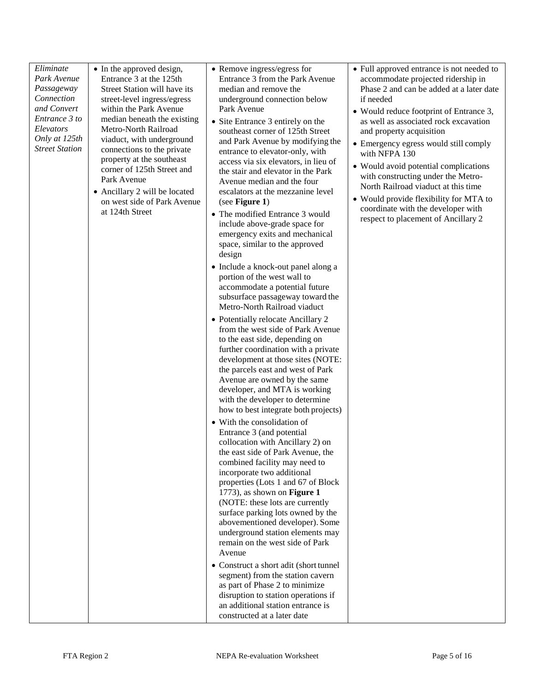| Eliminate                                                                                                                      | • In the approved design,                                                                                                                                                                                                                                                                                                                                                                       | • Remove ingress/egress for                                                                                                                                                                                                                                                                                                                                                                                                                                                                                                                                                                                                                                                                                                                                                                                                                                                                                                                                                                                                                                                                                                                                                                                                                                                                                                                                                                                                                                                                                                                                                                                                                                                                                                                                                                                                        | • Full approved entrance is not needed to                                                                                                                                                                                                                                                                                                                                                                                                                                                                          |
|--------------------------------------------------------------------------------------------------------------------------------|-------------------------------------------------------------------------------------------------------------------------------------------------------------------------------------------------------------------------------------------------------------------------------------------------------------------------------------------------------------------------------------------------|------------------------------------------------------------------------------------------------------------------------------------------------------------------------------------------------------------------------------------------------------------------------------------------------------------------------------------------------------------------------------------------------------------------------------------------------------------------------------------------------------------------------------------------------------------------------------------------------------------------------------------------------------------------------------------------------------------------------------------------------------------------------------------------------------------------------------------------------------------------------------------------------------------------------------------------------------------------------------------------------------------------------------------------------------------------------------------------------------------------------------------------------------------------------------------------------------------------------------------------------------------------------------------------------------------------------------------------------------------------------------------------------------------------------------------------------------------------------------------------------------------------------------------------------------------------------------------------------------------------------------------------------------------------------------------------------------------------------------------------------------------------------------------------------------------------------------------|--------------------------------------------------------------------------------------------------------------------------------------------------------------------------------------------------------------------------------------------------------------------------------------------------------------------------------------------------------------------------------------------------------------------------------------------------------------------------------------------------------------------|
| Park Avenue<br>Passageway<br>Connection<br>and Convert<br>Entrance 3 to<br>Elevators<br>Only at 125th<br><b>Street Station</b> | Entrance 3 at the 125th<br>Street Station will have its<br>street-level ingress/egress<br>within the Park Avenue<br>median beneath the existing<br>Metro-North Railroad<br>viaduct, with underground<br>connections to the private<br>property at the southeast<br>corner of 125th Street and<br>Park Avenue<br>• Ancillary 2 will be located<br>on west side of Park Avenue<br>at 124th Street | Entrance 3 from the Park Avenue<br>median and remove the<br>underground connection below<br>Park Avenue<br>• Site Entrance 3 entirely on the<br>southeast corner of 125th Street<br>and Park Avenue by modifying the<br>entrance to elevator-only, with<br>access via six elevators, in lieu of<br>the stair and elevator in the Park<br>Avenue median and the four<br>escalators at the mezzanine level<br>(see Figure 1)<br>• The modified Entrance 3 would<br>include above-grade space for<br>emergency exits and mechanical<br>space, similar to the approved<br>design<br>• Include a knock-out panel along a<br>portion of the west wall to<br>accommodate a potential future<br>subsurface passageway toward the<br>Metro-North Railroad viaduct<br>• Potentially relocate Ancillary 2<br>from the west side of Park Avenue<br>to the east side, depending on<br>further coordination with a private<br>development at those sites (NOTE:<br>the parcels east and west of Park<br>Avenue are owned by the same<br>developer, and MTA is working<br>with the developer to determine<br>how to best integrate both projects)<br>• With the consolidation of<br>Entrance 3 (and potential<br>collocation with Ancillary 2) on<br>the east side of Park Avenue, the<br>combined facility may need to<br>incorporate two additional<br>properties (Lots 1 and 67 of Block<br>1773), as shown on Figure 1<br>(NOTE: these lots are currently<br>surface parking lots owned by the<br>abovementioned developer). Some<br>underground station elements may<br>remain on the west side of Park<br>Avenue<br>• Construct a short adit (short tunnel<br>segment) from the station cavern<br>as part of Phase 2 to minimize<br>disruption to station operations if<br>an additional station entrance is<br>constructed at a later date | accommodate projected ridership in<br>Phase 2 and can be added at a later date<br>if needed<br>• Would reduce footprint of Entrance 3,<br>as well as associated rock excavation<br>and property acquisition<br>• Emergency egress would still comply<br>with NFPA 130<br>• Would avoid potential complications<br>with constructing under the Metro-<br>North Railroad viaduct at this time<br>• Would provide flexibility for MTA to<br>coordinate with the developer with<br>respect to placement of Ancillary 2 |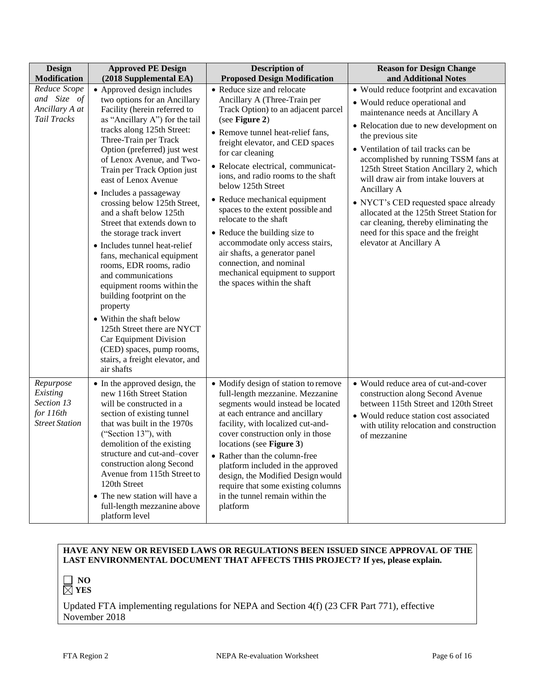| <b>Design</b><br><b>Modification</b>                                      | <b>Approved PE Design</b><br>(2018 Supplemental EA)                                                                                                                                                                                                                                                                                                                                                                                                                                                                                                                                                                                                                                                                                                                                                                | <b>Description of</b><br><b>Proposed Design Modification</b>                                                                                                                                                                                                                                                                                                                                                                                                                                                                                                                                                        | <b>Reason for Design Change</b><br>and Additional Notes                                                                                                                                                                                                                                                                                                                                                                                                                                                                                                       |
|---------------------------------------------------------------------------|--------------------------------------------------------------------------------------------------------------------------------------------------------------------------------------------------------------------------------------------------------------------------------------------------------------------------------------------------------------------------------------------------------------------------------------------------------------------------------------------------------------------------------------------------------------------------------------------------------------------------------------------------------------------------------------------------------------------------------------------------------------------------------------------------------------------|---------------------------------------------------------------------------------------------------------------------------------------------------------------------------------------------------------------------------------------------------------------------------------------------------------------------------------------------------------------------------------------------------------------------------------------------------------------------------------------------------------------------------------------------------------------------------------------------------------------------|---------------------------------------------------------------------------------------------------------------------------------------------------------------------------------------------------------------------------------------------------------------------------------------------------------------------------------------------------------------------------------------------------------------------------------------------------------------------------------------------------------------------------------------------------------------|
| Reduce Scope<br>and Size of<br>Ancillary A at<br>Tail Tracks              | • Approved design includes<br>two options for an Ancillary<br>Facility (herein referred to<br>as "Ancillary A") for the tail<br>tracks along 125th Street:<br>Three-Train per Track<br>Option (preferred) just west<br>of Lenox Avenue, and Two-<br>Train per Track Option just<br>east of Lenox Avenue<br>• Includes a passageway<br>crossing below 125th Street,<br>and a shaft below 125th<br>Street that extends down to<br>the storage track invert<br>• Includes tunnel heat-relief<br>fans, mechanical equipment<br>rooms, EDR rooms, radio<br>and communications<br>equipment rooms within the<br>building footprint on the<br>property<br>• Within the shaft below<br>125th Street there are NYCT<br>Car Equipment Division<br>(CED) spaces, pump rooms,<br>stairs, a freight elevator, and<br>air shafts | • Reduce size and relocate<br>Ancillary A (Three-Train per<br>Track Option) to an adjacent parcel<br>(see Figure 2)<br>• Remove tunnel heat-relief fans,<br>freight elevator, and CED spaces<br>for car cleaning<br>· Relocate electrical, communicat-<br>ions, and radio rooms to the shaft<br>below 125th Street<br>• Reduce mechanical equipment<br>spaces to the extent possible and<br>relocate to the shaft<br>• Reduce the building size to<br>accommodate only access stairs,<br>air shafts, a generator panel<br>connection, and nominal<br>mechanical equipment to support<br>the spaces within the shaft | • Would reduce footprint and excavation<br>• Would reduce operational and<br>maintenance needs at Ancillary A<br>• Relocation due to new development on<br>the previous site<br>• Ventilation of tail tracks can be<br>accomplished by running TSSM fans at<br>125th Street Station Ancillary 2, which<br>will draw air from intake louvers at<br>Ancillary A<br>• NYCT's CED requested space already<br>allocated at the 125th Street Station for<br>car cleaning, thereby eliminating the<br>need for this space and the freight<br>elevator at Ancillary A |
| Repurpose<br>Existing<br>Section 13<br>for 116th<br><b>Street Station</b> | • In the approved design, the<br>new 116th Street Station<br>will be constructed in a<br>section of existing tunnel<br>that was built in the 1970s<br>("Section 13"), with<br>demolition of the existing<br>structure and cut-and-cover<br>construction along Second<br>Avenue from 115th Street to<br>120th Street<br>• The new station will have a<br>full-length mezzanine above<br>platform level                                                                                                                                                                                                                                                                                                                                                                                                              | • Modify design of station to remove<br>full-length mezzanine. Mezzanine<br>segments would instead be located<br>at each entrance and ancillary<br>facility, with localized cut-and-<br>cover construction only in those<br>locations (see Figure 3)<br>• Rather than the column-free<br>platform included in the approved<br>design, the Modified Design would<br>require that some existing columns<br>in the tunnel remain within the<br>platform                                                                                                                                                                | • Would reduce area of cut-and-cover<br>construction along Second Avenue<br>between 115th Street and 120th Street<br>• Would reduce station cost associated<br>with utility relocation and construction<br>of mezzanine                                                                                                                                                                                                                                                                                                                                       |

## **HAVE ANY NEW OR REVISED LAWS OR REGULATIONS BEEN ISSUED SINCE APPROVAL OF THE LAST ENVIRONMENTAL DOCUMENT THAT AFFECTS THIS PROJECT? If yes, please explain.**



Updated FTA implementing regulations for NEPA and Section 4(f) (23 CFR Part 771), effective November 2018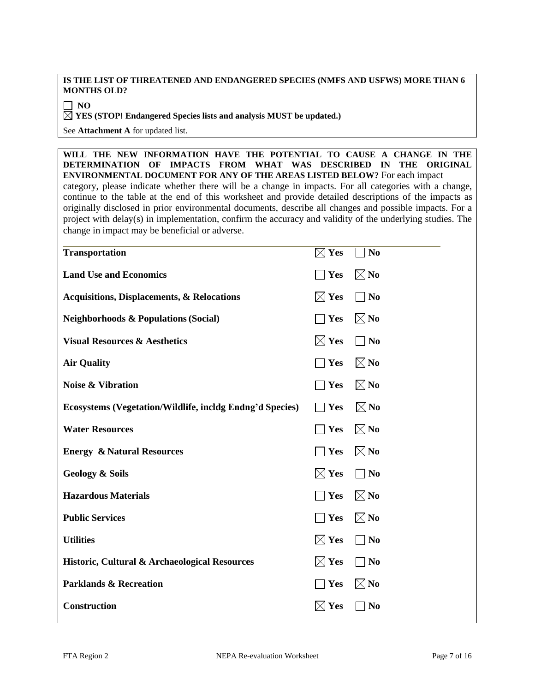#### **IS THE LIST OF THREATENED AND ENDANGERED SPECIES (NMFS AND USFWS) MORE THAN 6 MONTHS OLD?**

 $\Box$  NO

**YES (STOP! Endangered Species lists and analysis MUST be updated.)**

See **Attachment A** for updated list.

**WILL THE NEW INFORMATION HAVE THE POTENTIAL TO CAUSE A CHANGE IN THE DETERMINATION OF IMPACTS FROM WHAT WAS DESCRIBED IN THE ORIGINAL ENVIRONMENTAL DOCUMENT FOR ANY OF THE AREAS LISTED BELOW?** For each impact category, please indicate whether there will be a change in impacts. For all categories with a change, continue to the table at the end of this worksheet and provide detailed descriptions of the impacts as originally disclosed in prior environmental documents, describe all changes and possible impacts. For a project with delay(s) in implementation, confirm the accuracy and validity of the underlying studies. The change in impact may be beneficial or adverse.

| <b>Transportation</b>                                    | $\boxtimes$ Yes    | N <sub>0</sub>    |
|----------------------------------------------------------|--------------------|-------------------|
| <b>Land Use and Economics</b>                            | Yes                | $\boxtimes$ No    |
| <b>Acquisitions, Displacements, &amp; Relocations</b>    | $\boxtimes$ Yes    | $\blacksquare$ No |
| <b>Neighborhoods &amp; Populations (Social)</b>          | <b>Yes</b>         | $\boxtimes$ No    |
| <b>Visual Resources &amp; Aesthetics</b>                 | $\times$ Yes       | $\Box$ No         |
| <b>Air Quality</b>                                       | $\blacksquare$ Yes | $\boxtimes$ No    |
| <b>Noise &amp; Vibration</b>                             | Yes                | $\boxtimes$ No    |
| Ecosystems (Vegetation/Wildlife, incldg Endng'd Species) | $\blacksquare$ Yes | $\boxtimes$ No    |
| <b>Water Resources</b>                                   | Yes                | $\boxtimes$ No    |
| <b>Energy &amp; Natural Resources</b>                    | Yes                | $\boxtimes$ No    |
| <b>Geology &amp; Soils</b>                               | $\boxtimes$ Yes    | $\neg$ No         |
| <b>Hazardous Materials</b>                               | Yes                | $\boxtimes$ No    |
| <b>Public Services</b>                                   | $\bigcap$ Yes      | $\boxtimes$ No    |
| <b>Utilities</b>                                         | $\boxtimes$ Yes    | $\blacksquare$ No |
| Historic, Cultural & Archaeological Resources            | $\boxtimes$ Yes    | $\Box$ No         |
| <b>Parklands &amp; Recreation</b>                        | $\blacksquare$ Yes | $\boxtimes$ No    |
| Construction                                             | $\times$ Yes       | N <sub>0</sub>    |
|                                                          |                    |                   |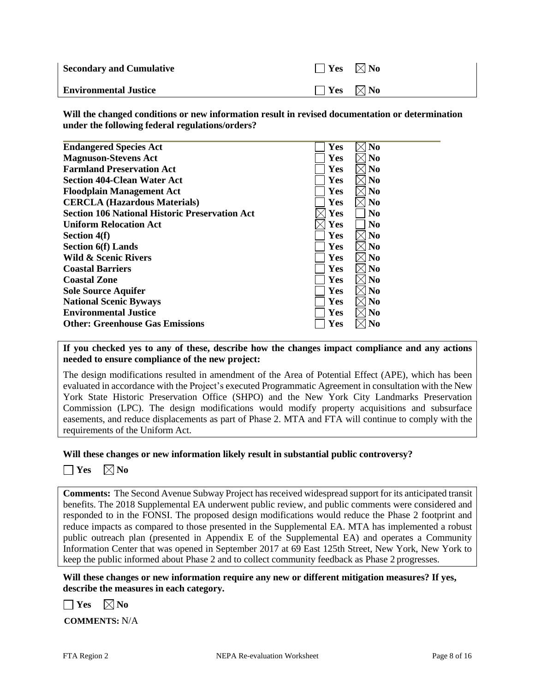| <b>Secondary and Cumulative</b> | $\Box$ Yes $\boxtimes$ No |  |
|---------------------------------|---------------------------|--|
| <b>Environmental Justice</b>    | $\Box$ Yes $\boxtimes$ No |  |

**Will the changed conditions or new information result in revised documentation or determination under the following federal regulations/orders?**

| <b>Endangered Species Act</b>                         | Yes        | N <sub>0</sub> |
|-------------------------------------------------------|------------|----------------|
| <b>Magnuson-Stevens Act</b>                           | <b>Yes</b> | N <sub>0</sub> |
| <b>Farmland Preservation Act</b>                      | Yes        | N <sub>0</sub> |
| <b>Section 404-Clean Water Act</b>                    | <b>Yes</b> | N <sub>0</sub> |
| <b>Floodplain Management Act</b>                      | Yes        | N <sub>0</sub> |
| <b>CERCLA (Hazardous Materials)</b>                   | Yes        | N <sub>0</sub> |
| <b>Section 106 National Historic Preservation Act</b> | Yes        | N <sub>0</sub> |
| <b>Uniform Relocation Act</b>                         | Yes        | N <sub>0</sub> |
| Section 4(f)                                          | Yes        | N <sub>0</sub> |
| <b>Section 6(f)</b> Lands                             | Yes        | N <sub>0</sub> |
| Wild & Scenic Rivers                                  | <b>Yes</b> | N <sub>0</sub> |
| <b>Coastal Barriers</b>                               | Yes        | N <sub>0</sub> |
| <b>Coastal Zone</b>                                   | Yes        | N <sub>0</sub> |
| <b>Sole Source Aquifer</b>                            | Yes        | N <sub>0</sub> |
| <b>National Scenic Byways</b>                         | Yes        | N <sub>0</sub> |
| <b>Environmental Justice</b>                          | Yes        | N <sub>0</sub> |
| <b>Other: Greenhouse Gas Emissions</b>                | Yes        | No             |
|                                                       |            |                |

**If you checked yes to any of these, describe how the changes impact compliance and any actions needed to ensure compliance of the new project:**

The design modifications resulted in amendment of the Area of Potential Effect (APE), which has been evaluated in accordance with the Project's executed Programmatic Agreement in consultation with the New York State Historic Preservation Office (SHPO) and the New York City Landmarks Preservation Commission (LPC). The design modifications would modify property acquisitions and subsurface easements, and reduce displacements as part of Phase 2. MTA and FTA will continue to comply with the requirements of the Uniform Act.

**Will these changes or new information likely result in substantial public controversy?**

| РS | $\times$   No |
|----|---------------|
|----|---------------|

**Comments:** The Second Avenue Subway Project has received widespread support for its anticipated transit benefits. The 2018 Supplemental EA underwent public review, and public comments were considered and responded to in the FONSI. The proposed design modifications would reduce the Phase 2 footprint and reduce impacts as compared to those presented in the Supplemental EA. MTA has implemented a robust public outreach plan (presented in Appendix E of the Supplemental EA) and operates a Community Information Center that was opened in September 2017 at 69 East 125th Street, New York, New York to keep the public informed about Phase 2 and to collect community feedback as Phase 2 progresses.

**Will these changes or new information require any new or different mitigation measures? If yes, describe the measures in each category.**

 $\Box$  **Yes**  $\Box$  **No** 

**COMMENTS:** N/A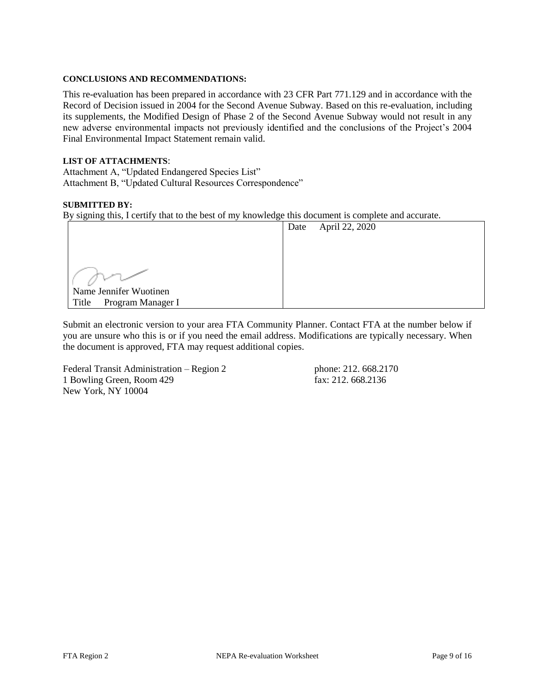## **CONCLUSIONS AND RECOMMENDATIONS:**

This re-evaluation has been prepared in accordance with 23 CFR Part 771.129 and in accordance with the Record of Decision issued in 2004 for the Second Avenue Subway. Based on this re-evaluation, including its supplements, the Modified Design of Phase 2 of the Second Avenue Subway would not result in any new adverse environmental impacts not previously identified and the conclusions of the Project's 2004 Final Environmental Impact Statement remain valid.

## **LIST OF ATTACHMENTS**:

Attachment A, "Updated Endangered Species List" Attachment B, "Updated Cultural Resources Correspondence"

### **SUBMITTED BY:**

By signing this, I certify that to the best of my knowledge this document is complete and accurate.

|                            | Date | April 22, 2020 |
|----------------------------|------|----------------|
|                            |      |                |
|                            |      |                |
|                            |      |                |
|                            |      |                |
| Name Jennifer Wuotinen     |      |                |
| Program Manager I<br>Title |      |                |

Submit an electronic version to your area FTA Community Planner. Contact FTA at the number below if you are unsure who this is or if you need the email address. Modifications are typically necessary. When the document is approved, FTA may request additional copies.

Federal Transit Administration – Region 2 phone: 212. 668.2170 1 Bowling Green, Room 429 fax: 212. 668.2136 New York, NY 10004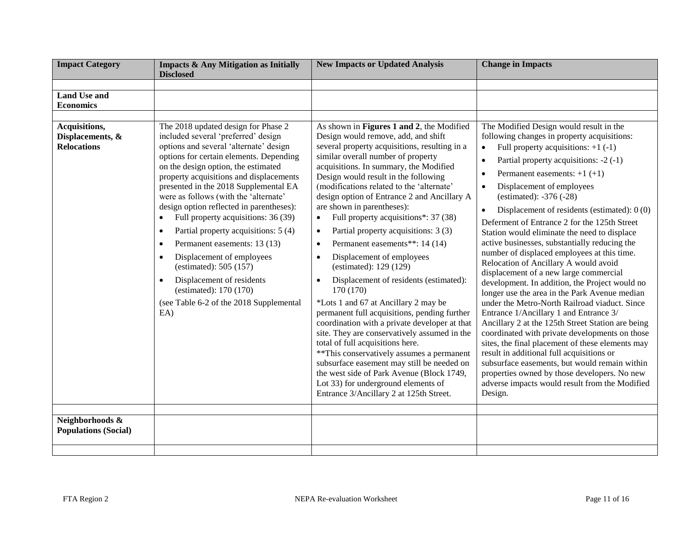| <b>Impact Category</b>                                  | <b>Impacts &amp; Any Mitigation as Initially</b><br><b>Disclosed</b>                                                                                                                                                                                                                                                                                                                                                                                                                                                                                                                                                                                                                                                            | <b>New Impacts or Updated Analysis</b>                                                                                                                                                                                                                                                                                                                                                                                                                                                                                                                                                                                                                                                                                                                                                                                                                                                                                                                                                                                                                                                                             | <b>Change in Impacts</b>                                                                                                                                                                                                                                                                                                                                                                                                                                                                                                                                                                                                                                                                                                                                                                                                                                                                                                                                                                                                                                                                                                                                                                                                              |
|---------------------------------------------------------|---------------------------------------------------------------------------------------------------------------------------------------------------------------------------------------------------------------------------------------------------------------------------------------------------------------------------------------------------------------------------------------------------------------------------------------------------------------------------------------------------------------------------------------------------------------------------------------------------------------------------------------------------------------------------------------------------------------------------------|--------------------------------------------------------------------------------------------------------------------------------------------------------------------------------------------------------------------------------------------------------------------------------------------------------------------------------------------------------------------------------------------------------------------------------------------------------------------------------------------------------------------------------------------------------------------------------------------------------------------------------------------------------------------------------------------------------------------------------------------------------------------------------------------------------------------------------------------------------------------------------------------------------------------------------------------------------------------------------------------------------------------------------------------------------------------------------------------------------------------|---------------------------------------------------------------------------------------------------------------------------------------------------------------------------------------------------------------------------------------------------------------------------------------------------------------------------------------------------------------------------------------------------------------------------------------------------------------------------------------------------------------------------------------------------------------------------------------------------------------------------------------------------------------------------------------------------------------------------------------------------------------------------------------------------------------------------------------------------------------------------------------------------------------------------------------------------------------------------------------------------------------------------------------------------------------------------------------------------------------------------------------------------------------------------------------------------------------------------------------|
|                                                         |                                                                                                                                                                                                                                                                                                                                                                                                                                                                                                                                                                                                                                                                                                                                 |                                                                                                                                                                                                                                                                                                                                                                                                                                                                                                                                                                                                                                                                                                                                                                                                                                                                                                                                                                                                                                                                                                                    |                                                                                                                                                                                                                                                                                                                                                                                                                                                                                                                                                                                                                                                                                                                                                                                                                                                                                                                                                                                                                                                                                                                                                                                                                                       |
| <b>Land Use and</b><br><b>Economics</b>                 |                                                                                                                                                                                                                                                                                                                                                                                                                                                                                                                                                                                                                                                                                                                                 |                                                                                                                                                                                                                                                                                                                                                                                                                                                                                                                                                                                                                                                                                                                                                                                                                                                                                                                                                                                                                                                                                                                    |                                                                                                                                                                                                                                                                                                                                                                                                                                                                                                                                                                                                                                                                                                                                                                                                                                                                                                                                                                                                                                                                                                                                                                                                                                       |
|                                                         |                                                                                                                                                                                                                                                                                                                                                                                                                                                                                                                                                                                                                                                                                                                                 |                                                                                                                                                                                                                                                                                                                                                                                                                                                                                                                                                                                                                                                                                                                                                                                                                                                                                                                                                                                                                                                                                                                    |                                                                                                                                                                                                                                                                                                                                                                                                                                                                                                                                                                                                                                                                                                                                                                                                                                                                                                                                                                                                                                                                                                                                                                                                                                       |
| Acquisitions,<br>Displacements, &<br><b>Relocations</b> | The 2018 updated design for Phase 2<br>included several 'preferred' design<br>options and several 'alternate' design<br>options for certain elements. Depending<br>on the design option, the estimated<br>property acquisitions and displacements<br>presented in the 2018 Supplemental EA<br>were as follows (with the 'alternate'<br>design option reflected in parentheses):<br>Full property acquisitions: 36 (39)<br>$\bullet$<br>Partial property acquisitions: 5 (4)<br>$\bullet$<br>Permanent easements: 13 (13)<br>$\bullet$<br>Displacement of employees<br>$\bullet$<br>(estimated): $505(157)$<br>Displacement of residents<br>$\bullet$<br>(estimated): 170 (170)<br>(see Table 6-2 of the 2018 Supplemental<br>EA | As shown in Figures 1 and 2, the Modified<br>Design would remove, add, and shift<br>several property acquisitions, resulting in a<br>similar overall number of property<br>acquisitions. In summary, the Modified<br>Design would result in the following<br>(modifications related to the 'alternate'<br>design option of Entrance 2 and Ancillary A<br>are shown in parentheses):<br>Full property acquisitions*: 37 (38)<br>Partial property acquisitions: 3 (3)<br>$\bullet$<br>Permanent easements**: 14 (14)<br>$\bullet$<br>Displacement of employees<br>$\bullet$<br>(estimated): 129 (129)<br>Displacement of residents (estimated):<br>170 (170)<br>*Lots 1 and 67 at Ancillary 2 may be<br>permanent full acquisitions, pending further<br>coordination with a private developer at that<br>site. They are conservatively assumed in the<br>total of full acquisitions here.<br>** This conservatively assumes a permanent<br>subsurface easement may still be needed on<br>the west side of Park Avenue (Block 1749,<br>Lot 33) for underground elements of<br>Entrance 3/Ancillary 2 at 125th Street. | The Modified Design would result in the<br>following changes in property acquisitions:<br>Full property acquisitions: $+1$ (-1)<br>$\bullet$<br>Partial property acquisitions: -2 (-1)<br>Permanent easements: $+1$ (+1)<br>$\bullet$<br>Displacement of employees<br>$\bullet$<br>(estimated): $-376$ ( $-28$ )<br>Displacement of residents (estimated): $0(0)$<br>$\bullet$<br>Deferment of Entrance 2 for the 125th Street<br>Station would eliminate the need to displace<br>active businesses, substantially reducing the<br>number of displaced employees at this time.<br>Relocation of Ancillary A would avoid<br>displacement of a new large commercial<br>development. In addition, the Project would no<br>longer use the area in the Park Avenue median<br>under the Metro-North Railroad viaduct. Since<br>Entrance 1/Ancillary 1 and Entrance 3/<br>Ancillary 2 at the 125th Street Station are being<br>coordinated with private developments on those<br>sites, the final placement of these elements may<br>result in additional full acquisitions or<br>subsurface easements, but would remain within<br>properties owned by those developers. No new<br>adverse impacts would result from the Modified<br>Design. |
| Neighborhoods &<br><b>Populations (Social)</b>          |                                                                                                                                                                                                                                                                                                                                                                                                                                                                                                                                                                                                                                                                                                                                 |                                                                                                                                                                                                                                                                                                                                                                                                                                                                                                                                                                                                                                                                                                                                                                                                                                                                                                                                                                                                                                                                                                                    |                                                                                                                                                                                                                                                                                                                                                                                                                                                                                                                                                                                                                                                                                                                                                                                                                                                                                                                                                                                                                                                                                                                                                                                                                                       |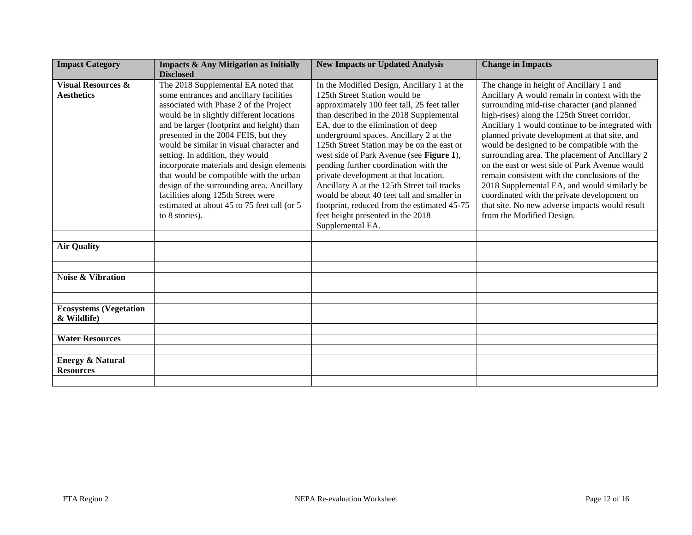| <b>Impact Category</b>                             | <b>Impacts &amp; Any Mitigation as Initially</b>                                                                                                                                                                                                                                                                                                                                                                                                                                                                                                                                      | <b>New Impacts or Updated Analysis</b>                                                                                                                                                                                                                                                                                                                                                                                                                                                                                                                                                                                                 | <b>Change in Impacts</b>                                                                                                                                                                                                                                                                                                                                                                                                                                                                                                                                                                                                                                                     |
|----------------------------------------------------|---------------------------------------------------------------------------------------------------------------------------------------------------------------------------------------------------------------------------------------------------------------------------------------------------------------------------------------------------------------------------------------------------------------------------------------------------------------------------------------------------------------------------------------------------------------------------------------|----------------------------------------------------------------------------------------------------------------------------------------------------------------------------------------------------------------------------------------------------------------------------------------------------------------------------------------------------------------------------------------------------------------------------------------------------------------------------------------------------------------------------------------------------------------------------------------------------------------------------------------|------------------------------------------------------------------------------------------------------------------------------------------------------------------------------------------------------------------------------------------------------------------------------------------------------------------------------------------------------------------------------------------------------------------------------------------------------------------------------------------------------------------------------------------------------------------------------------------------------------------------------------------------------------------------------|
|                                                    | <b>Disclosed</b>                                                                                                                                                                                                                                                                                                                                                                                                                                                                                                                                                                      |                                                                                                                                                                                                                                                                                                                                                                                                                                                                                                                                                                                                                                        |                                                                                                                                                                                                                                                                                                                                                                                                                                                                                                                                                                                                                                                                              |
| <b>Visual Resources &amp;</b><br><b>Aesthetics</b> | The 2018 Supplemental EA noted that<br>some entrances and ancillary facilities<br>associated with Phase 2 of the Project<br>would be in slightly different locations<br>and be larger (footprint and height) than<br>presented in the 2004 FEIS, but they<br>would be similar in visual character and<br>setting. In addition, they would<br>incorporate materials and design elements<br>that would be compatible with the urban<br>design of the surrounding area. Ancillary<br>facilities along 125th Street were<br>estimated at about 45 to 75 feet tall (or 5<br>to 8 stories). | In the Modified Design, Ancillary 1 at the<br>125th Street Station would be<br>approximately 100 feet tall, 25 feet taller<br>than described in the 2018 Supplemental<br>EA, due to the elimination of deep<br>underground spaces. Ancillary 2 at the<br>125th Street Station may be on the east or<br>west side of Park Avenue (see Figure 1),<br>pending further coordination with the<br>private development at that location.<br>Ancillary A at the 125th Street tail tracks<br>would be about 40 feet tall and smaller in<br>footprint, reduced from the estimated 45-75<br>feet height presented in the 2018<br>Supplemental EA. | The change in height of Ancillary 1 and<br>Ancillary A would remain in context with the<br>surrounding mid-rise character (and planned<br>high-rises) along the 125th Street corridor.<br>Ancillary 1 would continue to be integrated with<br>planned private development at that site, and<br>would be designed to be compatible with the<br>surrounding area. The placement of Ancillary 2<br>on the east or west side of Park Avenue would<br>remain consistent with the conclusions of the<br>2018 Supplemental EA, and would similarly be<br>coordinated with the private development on<br>that site. No new adverse impacts would result<br>from the Modified Design. |
| <b>Air Quality</b>                                 |                                                                                                                                                                                                                                                                                                                                                                                                                                                                                                                                                                                       |                                                                                                                                                                                                                                                                                                                                                                                                                                                                                                                                                                                                                                        |                                                                                                                                                                                                                                                                                                                                                                                                                                                                                                                                                                                                                                                                              |
|                                                    |                                                                                                                                                                                                                                                                                                                                                                                                                                                                                                                                                                                       |                                                                                                                                                                                                                                                                                                                                                                                                                                                                                                                                                                                                                                        |                                                                                                                                                                                                                                                                                                                                                                                                                                                                                                                                                                                                                                                                              |
|                                                    |                                                                                                                                                                                                                                                                                                                                                                                                                                                                                                                                                                                       |                                                                                                                                                                                                                                                                                                                                                                                                                                                                                                                                                                                                                                        |                                                                                                                                                                                                                                                                                                                                                                                                                                                                                                                                                                                                                                                                              |
| Noise & Vibration                                  |                                                                                                                                                                                                                                                                                                                                                                                                                                                                                                                                                                                       |                                                                                                                                                                                                                                                                                                                                                                                                                                                                                                                                                                                                                                        |                                                                                                                                                                                                                                                                                                                                                                                                                                                                                                                                                                                                                                                                              |
|                                                    |                                                                                                                                                                                                                                                                                                                                                                                                                                                                                                                                                                                       |                                                                                                                                                                                                                                                                                                                                                                                                                                                                                                                                                                                                                                        |                                                                                                                                                                                                                                                                                                                                                                                                                                                                                                                                                                                                                                                                              |
| <b>Ecosystems (Vegetation</b><br>& Wildlife)       |                                                                                                                                                                                                                                                                                                                                                                                                                                                                                                                                                                                       |                                                                                                                                                                                                                                                                                                                                                                                                                                                                                                                                                                                                                                        |                                                                                                                                                                                                                                                                                                                                                                                                                                                                                                                                                                                                                                                                              |
|                                                    |                                                                                                                                                                                                                                                                                                                                                                                                                                                                                                                                                                                       |                                                                                                                                                                                                                                                                                                                                                                                                                                                                                                                                                                                                                                        |                                                                                                                                                                                                                                                                                                                                                                                                                                                                                                                                                                                                                                                                              |
| <b>Water Resources</b>                             |                                                                                                                                                                                                                                                                                                                                                                                                                                                                                                                                                                                       |                                                                                                                                                                                                                                                                                                                                                                                                                                                                                                                                                                                                                                        |                                                                                                                                                                                                                                                                                                                                                                                                                                                                                                                                                                                                                                                                              |
|                                                    |                                                                                                                                                                                                                                                                                                                                                                                                                                                                                                                                                                                       |                                                                                                                                                                                                                                                                                                                                                                                                                                                                                                                                                                                                                                        |                                                                                                                                                                                                                                                                                                                                                                                                                                                                                                                                                                                                                                                                              |
| <b>Energy &amp; Natural</b>                        |                                                                                                                                                                                                                                                                                                                                                                                                                                                                                                                                                                                       |                                                                                                                                                                                                                                                                                                                                                                                                                                                                                                                                                                                                                                        |                                                                                                                                                                                                                                                                                                                                                                                                                                                                                                                                                                                                                                                                              |
| <b>Resources</b>                                   |                                                                                                                                                                                                                                                                                                                                                                                                                                                                                                                                                                                       |                                                                                                                                                                                                                                                                                                                                                                                                                                                                                                                                                                                                                                        |                                                                                                                                                                                                                                                                                                                                                                                                                                                                                                                                                                                                                                                                              |
|                                                    |                                                                                                                                                                                                                                                                                                                                                                                                                                                                                                                                                                                       |                                                                                                                                                                                                                                                                                                                                                                                                                                                                                                                                                                                                                                        |                                                                                                                                                                                                                                                                                                                                                                                                                                                                                                                                                                                                                                                                              |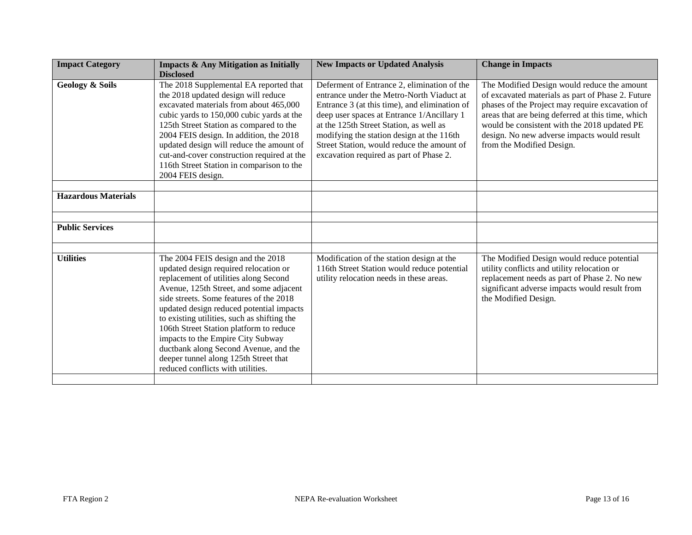| <b>Impact Category</b>     | <b>Impacts &amp; Any Mitigation as Initially</b><br><b>Disclosed</b>                                                                                                                                                                                                                                                                                                                                                                                                                                        | <b>New Impacts or Updated Analysis</b>                                                                                                                                                                                                                                                                                                                                   | <b>Change in Impacts</b>                                                                                                                                                                                                                                                                                                             |
|----------------------------|-------------------------------------------------------------------------------------------------------------------------------------------------------------------------------------------------------------------------------------------------------------------------------------------------------------------------------------------------------------------------------------------------------------------------------------------------------------------------------------------------------------|--------------------------------------------------------------------------------------------------------------------------------------------------------------------------------------------------------------------------------------------------------------------------------------------------------------------------------------------------------------------------|--------------------------------------------------------------------------------------------------------------------------------------------------------------------------------------------------------------------------------------------------------------------------------------------------------------------------------------|
| <b>Geology &amp; Soils</b> | The 2018 Supplemental EA reported that<br>the 2018 updated design will reduce<br>excavated materials from about 465,000<br>cubic yards to 150,000 cubic yards at the<br>125th Street Station as compared to the<br>2004 FEIS design. In addition, the 2018<br>updated design will reduce the amount of<br>cut-and-cover construction required at the<br>116th Street Station in comparison to the<br>2004 FEIS design.                                                                                      | Deferment of Entrance 2, elimination of the<br>entrance under the Metro-North Viaduct at<br>Entrance 3 (at this time), and elimination of<br>deep user spaces at Entrance 1/Ancillary 1<br>at the 125th Street Station, as well as<br>modifying the station design at the 116th<br>Street Station, would reduce the amount of<br>excavation required as part of Phase 2. | The Modified Design would reduce the amount<br>of excavated materials as part of Phase 2. Future<br>phases of the Project may require excavation of<br>areas that are being deferred at this time, which<br>would be consistent with the 2018 updated PE<br>design. No new adverse impacts would result<br>from the Modified Design. |
| <b>Hazardous Materials</b> |                                                                                                                                                                                                                                                                                                                                                                                                                                                                                                             |                                                                                                                                                                                                                                                                                                                                                                          |                                                                                                                                                                                                                                                                                                                                      |
| <b>Public Services</b>     |                                                                                                                                                                                                                                                                                                                                                                                                                                                                                                             |                                                                                                                                                                                                                                                                                                                                                                          |                                                                                                                                                                                                                                                                                                                                      |
| <b>Utilities</b>           | The 2004 FEIS design and the 2018<br>updated design required relocation or<br>replacement of utilities along Second<br>Avenue, 125th Street, and some adjacent<br>side streets. Some features of the 2018<br>updated design reduced potential impacts<br>to existing utilities, such as shifting the<br>106th Street Station platform to reduce<br>impacts to the Empire City Subway<br>ductbank along Second Avenue, and the<br>deeper tunnel along 125th Street that<br>reduced conflicts with utilities. | Modification of the station design at the<br>116th Street Station would reduce potential<br>utility relocation needs in these areas.                                                                                                                                                                                                                                     | The Modified Design would reduce potential<br>utility conflicts and utility relocation or<br>replacement needs as part of Phase 2. No new<br>significant adverse impacts would result from<br>the Modified Design.                                                                                                                   |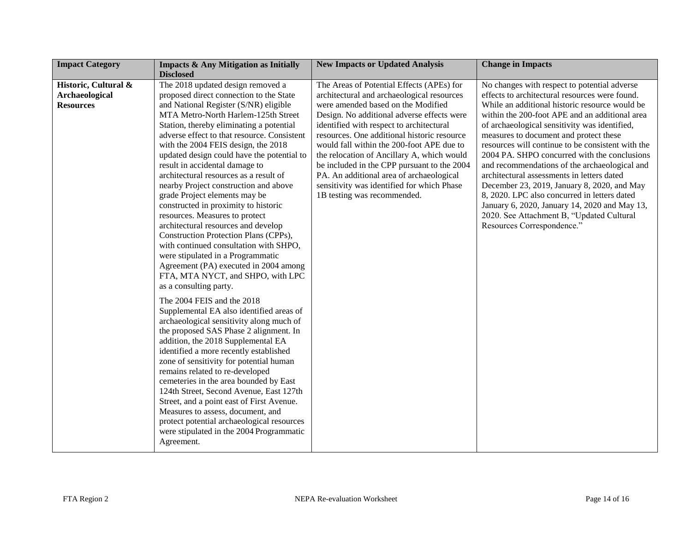| <b>Impact Category</b> | <b>Impacts &amp; Any Mitigation as Initially</b> | <b>New Impacts or Updated Analysis</b>      | <b>Change in Impacts</b>                          |
|------------------------|--------------------------------------------------|---------------------------------------------|---------------------------------------------------|
|                        | <b>Disclosed</b>                                 |                                             |                                                   |
| Historic, Cultural &   | The 2018 updated design removed a                | The Areas of Potential Effects (APEs) for   | No changes with respect to potential adverse      |
| <b>Archaeological</b>  | proposed direct connection to the State          | architectural and archaeological resources  | effects to architectural resources were found.    |
| <b>Resources</b>       | and National Register (S/NR) eligible            | were amended based on the Modified          | While an additional historic resource would be    |
|                        | MTA Metro-North Harlem-125th Street              | Design. No additional adverse effects were  | within the 200-foot APE and an additional area    |
|                        | Station, thereby eliminating a potential         | identified with respect to architectural    | of archaeological sensitivity was identified,     |
|                        | adverse effect to that resource. Consistent      | resources. One additional historic resource | measures to document and protect these            |
|                        | with the 2004 FEIS design, the 2018              | would fall within the 200-foot APE due to   | resources will continue to be consistent with the |
|                        | updated design could have the potential to       | the relocation of Ancillary A, which would  | 2004 PA. SHPO concurred with the conclusions      |
|                        | result in accidental damage to                   | be included in the CPP pursuant to the 2004 | and recommendations of the archaeological and     |
|                        | architectural resources as a result of           | PA. An additional area of archaeological    | architectural assessments in letters dated        |
|                        | nearby Project construction and above            | sensitivity was identified for which Phase  | December 23, 2019, January 8, 2020, and May       |
|                        | grade Project elements may be                    | 1B testing was recommended.                 | 8, 2020. LPC also concurred in letters dated      |
|                        | constructed in proximity to historic             |                                             | January 6, 2020, January 14, 2020 and May 13,     |
|                        | resources. Measures to protect                   |                                             | 2020. See Attachment B, "Updated Cultural         |
|                        | architectural resources and develop              |                                             | Resources Correspondence."                        |
|                        | Construction Protection Plans (CPPs),            |                                             |                                                   |
|                        | with continued consultation with SHPO,           |                                             |                                                   |
|                        | were stipulated in a Programmatic                |                                             |                                                   |
|                        | Agreement (PA) executed in 2004 among            |                                             |                                                   |
|                        | FTA, MTA NYCT, and SHPO, with LPC                |                                             |                                                   |
|                        | as a consulting party.                           |                                             |                                                   |
|                        |                                                  |                                             |                                                   |
|                        | The 2004 FEIS and the 2018                       |                                             |                                                   |
|                        | Supplemental EA also identified areas of         |                                             |                                                   |
|                        | archaeological sensitivity along much of         |                                             |                                                   |
|                        | the proposed SAS Phase 2 alignment. In           |                                             |                                                   |
|                        | addition, the 2018 Supplemental EA               |                                             |                                                   |
|                        | identified a more recently established           |                                             |                                                   |
|                        | zone of sensitivity for potential human          |                                             |                                                   |
|                        | remains related to re-developed                  |                                             |                                                   |
|                        | cemeteries in the area bounded by East           |                                             |                                                   |
|                        | 124th Street, Second Avenue, East 127th          |                                             |                                                   |
|                        | Street, and a point east of First Avenue.        |                                             |                                                   |
|                        | Measures to assess, document, and                |                                             |                                                   |
|                        | protect potential archaeological resources       |                                             |                                                   |
|                        | were stipulated in the 2004 Programmatic         |                                             |                                                   |
|                        | Agreement.                                       |                                             |                                                   |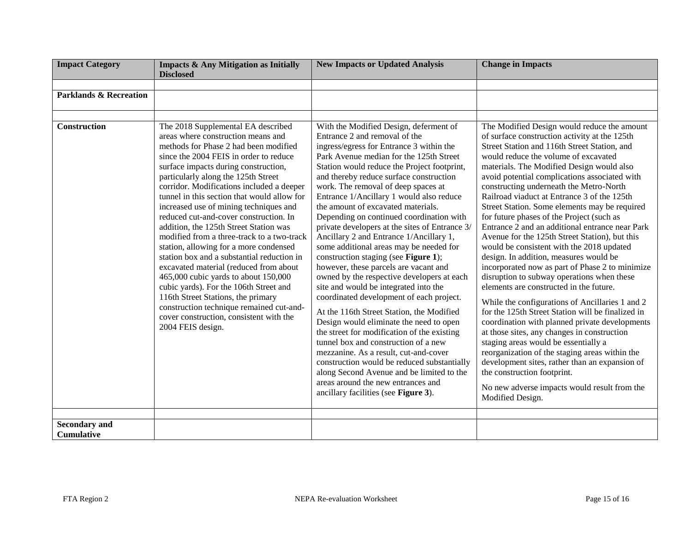| <b>Impact Category</b>                    | <b>Impacts &amp; Any Mitigation as Initially</b>                                                                                                                                                                                                                                                                                                                                                                                                                                                                                                                                                                                                                                                                                                                                                                                                                                         | <b>New Impacts or Updated Analysis</b>                                                                                                                                                                                                                                                                                                                                                                                                                                                                                                                                                                                                                                                                                                                                                                                                                                                                                                                                                                                                                                                                                                                                                      | <b>Change in Impacts</b>                                                                                                                                                                                                                                                                                                                                                                                                                                                                                                                                                                                                                                                                                                                                                                                                                                                                                                                                                                                                                                                                                                                                                                                                                                                   |
|-------------------------------------------|------------------------------------------------------------------------------------------------------------------------------------------------------------------------------------------------------------------------------------------------------------------------------------------------------------------------------------------------------------------------------------------------------------------------------------------------------------------------------------------------------------------------------------------------------------------------------------------------------------------------------------------------------------------------------------------------------------------------------------------------------------------------------------------------------------------------------------------------------------------------------------------|---------------------------------------------------------------------------------------------------------------------------------------------------------------------------------------------------------------------------------------------------------------------------------------------------------------------------------------------------------------------------------------------------------------------------------------------------------------------------------------------------------------------------------------------------------------------------------------------------------------------------------------------------------------------------------------------------------------------------------------------------------------------------------------------------------------------------------------------------------------------------------------------------------------------------------------------------------------------------------------------------------------------------------------------------------------------------------------------------------------------------------------------------------------------------------------------|----------------------------------------------------------------------------------------------------------------------------------------------------------------------------------------------------------------------------------------------------------------------------------------------------------------------------------------------------------------------------------------------------------------------------------------------------------------------------------------------------------------------------------------------------------------------------------------------------------------------------------------------------------------------------------------------------------------------------------------------------------------------------------------------------------------------------------------------------------------------------------------------------------------------------------------------------------------------------------------------------------------------------------------------------------------------------------------------------------------------------------------------------------------------------------------------------------------------------------------------------------------------------|
|                                           | <b>Disclosed</b>                                                                                                                                                                                                                                                                                                                                                                                                                                                                                                                                                                                                                                                                                                                                                                                                                                                                         |                                                                                                                                                                                                                                                                                                                                                                                                                                                                                                                                                                                                                                                                                                                                                                                                                                                                                                                                                                                                                                                                                                                                                                                             |                                                                                                                                                                                                                                                                                                                                                                                                                                                                                                                                                                                                                                                                                                                                                                                                                                                                                                                                                                                                                                                                                                                                                                                                                                                                            |
| <b>Parklands &amp; Recreation</b>         |                                                                                                                                                                                                                                                                                                                                                                                                                                                                                                                                                                                                                                                                                                                                                                                                                                                                                          |                                                                                                                                                                                                                                                                                                                                                                                                                                                                                                                                                                                                                                                                                                                                                                                                                                                                                                                                                                                                                                                                                                                                                                                             |                                                                                                                                                                                                                                                                                                                                                                                                                                                                                                                                                                                                                                                                                                                                                                                                                                                                                                                                                                                                                                                                                                                                                                                                                                                                            |
|                                           |                                                                                                                                                                                                                                                                                                                                                                                                                                                                                                                                                                                                                                                                                                                                                                                                                                                                                          |                                                                                                                                                                                                                                                                                                                                                                                                                                                                                                                                                                                                                                                                                                                                                                                                                                                                                                                                                                                                                                                                                                                                                                                             |                                                                                                                                                                                                                                                                                                                                                                                                                                                                                                                                                                                                                                                                                                                                                                                                                                                                                                                                                                                                                                                                                                                                                                                                                                                                            |
|                                           |                                                                                                                                                                                                                                                                                                                                                                                                                                                                                                                                                                                                                                                                                                                                                                                                                                                                                          |                                                                                                                                                                                                                                                                                                                                                                                                                                                                                                                                                                                                                                                                                                                                                                                                                                                                                                                                                                                                                                                                                                                                                                                             |                                                                                                                                                                                                                                                                                                                                                                                                                                                                                                                                                                                                                                                                                                                                                                                                                                                                                                                                                                                                                                                                                                                                                                                                                                                                            |
| <b>Construction</b>                       | The 2018 Supplemental EA described<br>areas where construction means and<br>methods for Phase 2 had been modified<br>since the 2004 FEIS in order to reduce<br>surface impacts during construction,<br>particularly along the 125th Street<br>corridor. Modifications included a deeper<br>tunnel in this section that would allow for<br>increased use of mining techniques and<br>reduced cut-and-cover construction. In<br>addition, the 125th Street Station was<br>modified from a three-track to a two-track<br>station, allowing for a more condensed<br>station box and a substantial reduction in<br>excavated material (reduced from about<br>465,000 cubic yards to about 150,000<br>cubic yards). For the 106th Street and<br>116th Street Stations, the primary<br>construction technique remained cut-and-<br>cover construction, consistent with the<br>2004 FEIS design. | With the Modified Design, deferment of<br>Entrance 2 and removal of the<br>ingress/egress for Entrance 3 within the<br>Park Avenue median for the 125th Street<br>Station would reduce the Project footprint,<br>and thereby reduce surface construction<br>work. The removal of deep spaces at<br>Entrance 1/Ancillary 1 would also reduce<br>the amount of excavated materials.<br>Depending on continued coordination with<br>private developers at the sites of Entrance 3/<br>Ancillary 2 and Entrance 1/Ancillary 1,<br>some additional areas may be needed for<br>construction staging (see Figure 1);<br>however, these parcels are vacant and<br>owned by the respective developers at each<br>site and would be integrated into the<br>coordinated development of each project.<br>At the 116th Street Station, the Modified<br>Design would eliminate the need to open<br>the street for modification of the existing<br>tunnel box and construction of a new<br>mezzanine. As a result, cut-and-cover<br>construction would be reduced substantially<br>along Second Avenue and be limited to the<br>areas around the new entrances and<br>ancillary facilities (see Figure 3). | The Modified Design would reduce the amount<br>of surface construction activity at the 125th<br>Street Station and 116th Street Station, and<br>would reduce the volume of excavated<br>materials. The Modified Design would also<br>avoid potential complications associated with<br>constructing underneath the Metro-North<br>Railroad viaduct at Entrance 3 of the 125th<br>Street Station. Some elements may be required<br>for future phases of the Project (such as<br>Entrance 2 and an additional entrance near Park<br>Avenue for the 125th Street Station), but this<br>would be consistent with the 2018 updated<br>design. In addition, measures would be<br>incorporated now as part of Phase 2 to minimize<br>disruption to subway operations when these<br>elements are constructed in the future.<br>While the configurations of Ancillaries 1 and 2<br>for the 125th Street Station will be finalized in<br>coordination with planned private developments<br>at those sites, any changes in construction<br>staging areas would be essentially a<br>reorganization of the staging areas within the<br>development sites, rather than an expansion of<br>the construction footprint.<br>No new adverse impacts would result from the<br>Modified Design. |
| <b>Secondary and</b><br><b>Cumulative</b> |                                                                                                                                                                                                                                                                                                                                                                                                                                                                                                                                                                                                                                                                                                                                                                                                                                                                                          |                                                                                                                                                                                                                                                                                                                                                                                                                                                                                                                                                                                                                                                                                                                                                                                                                                                                                                                                                                                                                                                                                                                                                                                             |                                                                                                                                                                                                                                                                                                                                                                                                                                                                                                                                                                                                                                                                                                                                                                                                                                                                                                                                                                                                                                                                                                                                                                                                                                                                            |